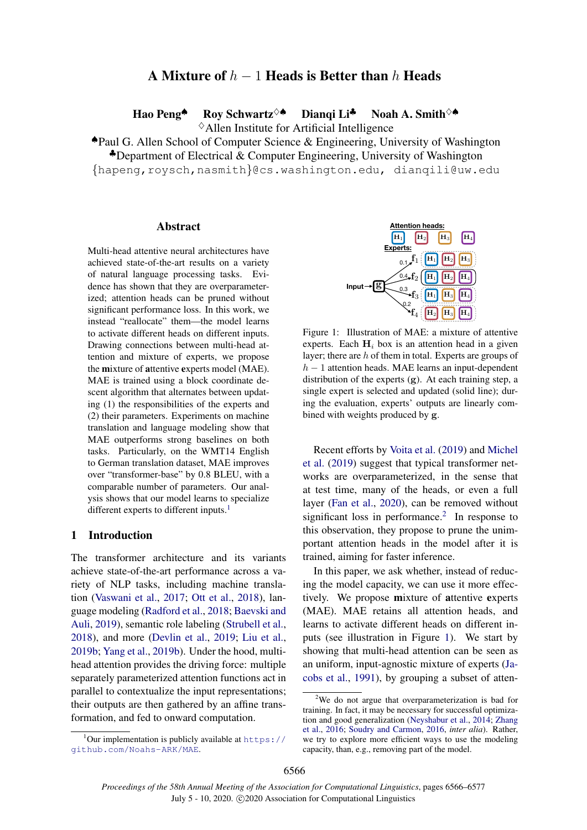# A Mixture of  $h - 1$  Heads is Better than h Heads

Hao Peng<sup>▲</sup> Roy Schwartz<sup>◇▲</sup> Diangi Li<sup>♣</sup> Noah A. Smith<sup>◇▲</sup>

 $\diamond$  Allen Institute for Artificial Intelligence

♠Paul G. Allen School of Computer Science & Engineering, University of Washington  $\clubsuit$ Department of Electrical & Computer Engineering, University of Washington

{hapeng,roysch,nasmith}@cs.washington.edu, dianqili@uw.edu

#### Abstract

Multi-head attentive neural architectures have achieved state-of-the-art results on a variety of natural language processing tasks. Evidence has shown that they are overparameterized; attention heads can be pruned without significant performance loss. In this work, we instead "reallocate" them—the model learns to activate different heads on different inputs. Drawing connections between multi-head attention and mixture of experts, we propose the mixture of attentive experts model (MAE). MAE is trained using a block coordinate descent algorithm that alternates between updating (1) the responsibilities of the experts and (2) their parameters. Experiments on machine translation and language modeling show that MAE outperforms strong baselines on both tasks. Particularly, on the WMT14 English to German translation dataset, MAE improves over "transformer-base" by 0.8 BLEU, with a comparable number of parameters. Our analysis shows that our model learns to specialize different experts to different inputs.<sup>[1](#page-0-0)</sup>

## 1 Introduction

The transformer architecture and its variants achieve state-of-the-art performance across a variety of NLP tasks, including machine translation [\(Vaswani et al.,](#page-9-0) [2017;](#page-9-0) [Ott et al.,](#page-9-1) [2018\)](#page-9-1), language modeling [\(Radford et al.,](#page-9-2) [2018;](#page-9-2) [Baevski and](#page-8-0) [Auli,](#page-8-0) [2019\)](#page-8-0), semantic role labeling [\(Strubell et al.,](#page-9-3) [2018\)](#page-9-3), and more [\(Devlin et al.,](#page-8-1) [2019;](#page-8-1) [Liu et al.,](#page-8-2) [2019b;](#page-8-2) [Yang et al.,](#page-9-4) [2019b\)](#page-9-4). Under the hood, multihead attention provides the driving force: multiple separately parameterized attention functions act in parallel to contextualize the input representations; their outputs are then gathered by an affine transformation, and fed to onward computation.

<span id="page-0-2"></span>

Figure 1: Illustration of MAE: a mixture of attentive experts. Each  $H_i$  box is an attention head in a given layer; there are h of them in total. Experts are groups of  $h - 1$  attention heads. MAE learns an input-dependent distribution of the experts (g). At each training step, a single expert is selected and updated (solid line); during the evaluation, experts' outputs are linearly combined with weights produced by g.

Recent efforts by [Voita et al.](#page-9-5) [\(2019\)](#page-9-5) and [Michel](#page-9-6) [et al.](#page-9-6) [\(2019\)](#page-9-6) suggest that typical transformer networks are overparameterized, in the sense that at test time, many of the heads, or even a full layer [\(Fan et al.,](#page-8-3) [2020\)](#page-8-3), can be removed without significant loss in performance.<sup>[2](#page-0-1)</sup> In response to this observation, they propose to prune the unimportant attention heads in the model after it is trained, aiming for faster inference.

In this paper, we ask whether, instead of reducing the model capacity, we can use it more effectively. We propose mixture of attentive experts (MAE). MAE retains all attention heads, and learns to activate different heads on different inputs (see illustration in Figure [1\)](#page-0-2). We start by showing that multi-head attention can be seen as an uniform, input-agnostic mixture of experts [\(Ja](#page-8-4)[cobs et al.,](#page-8-4) [1991\)](#page-8-4), by grouping a subset of atten-

<span id="page-0-0"></span><sup>&</sup>lt;sup>1</sup>Our implementation is publicly available at  $https://$ [github.com/Noahs-ARK/MAE](https://github.com/Noahs-ARK/MAE).

<span id="page-0-1"></span><sup>&</sup>lt;sup>2</sup>We do not argue that overparameterization is bad for training. In fact, it may be necessary for successful optimization and good generalization [\(Neyshabur et al.,](#page-9-7) [2014;](#page-9-7) [Zhang](#page-9-8) [et al.,](#page-9-8) [2016;](#page-9-8) [Soudry and Carmon,](#page-9-9) [2016,](#page-9-9) *inter alia*). Rather, we try to explore more efficient ways to use the modeling capacity, than, e.g., removing part of the model.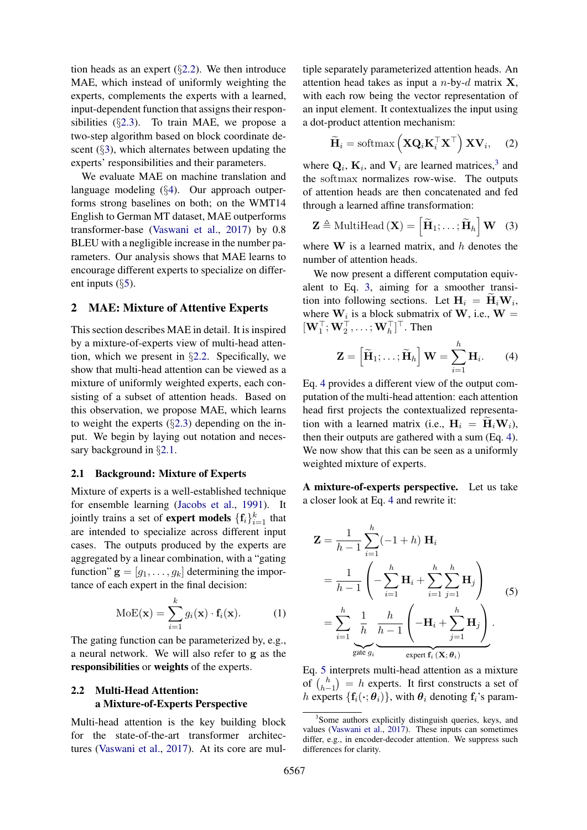tion heads as an expert  $(\S2.2)$  $(\S2.2)$ . We then introduce MAE, which instead of uniformly weighting the experts, complements the experts with a learned, input-dependent function that assigns their responsibilities (§[2.3\)](#page-2-0). To train MAE, we propose a two-step algorithm based on block coordinate descent  $(\S$ [3\)](#page-2-1), which alternates between updating the experts' responsibilities and their parameters.

We evaluate MAE on machine translation and language modeling (§[4\)](#page-3-0). Our approach outperforms strong baselines on both; on the WMT14 English to German MT dataset, MAE outperforms transformer-base [\(Vaswani et al.,](#page-9-0) [2017\)](#page-9-0) by 0.8 BLEU with a negligible increase in the number parameters. Our analysis shows that MAE learns to encourage different experts to specialize on different inputs  $(\S$ [5\)](#page-5-0).

## 2 MAE: Mixture of Attentive Experts

This section describes MAE in detail. It is inspired by a mixture-of-experts view of multi-head attention, which we present in §[2.2.](#page-1-0) Specifically, we show that multi-head attention can be viewed as a mixture of uniformly weighted experts, each consisting of a subset of attention heads. Based on this observation, we propose MAE, which learns to weight the experts  $(\S2.3)$  $(\S2.3)$  depending on the input. We begin by laying out notation and necessary background in §[2.1.](#page-1-1)

#### <span id="page-1-1"></span>2.1 Background: Mixture of Experts

Mixture of experts is a well-established technique for ensemble learning [\(Jacobs et al.,](#page-8-4) [1991\)](#page-8-4). It jointly trains a set of **expert models**  $\{\mathbf{f}_i\}_{i=1}^k$  that are intended to specialize across different input cases. The outputs produced by the experts are aggregated by a linear combination, with a "gating function"  $\mathbf{g} = [g_1, \dots, g_k]$  determining the importance of each expert in the final decision:

$$
MoE(\mathbf{x}) = \sum_{i=1}^{k} g_i(\mathbf{x}) \cdot \mathbf{f}_i(\mathbf{x}).
$$
 (1)

The gating function can be parameterized by, e.g., a neural network. We will also refer to g as the responsibilities or weights of the experts.

## <span id="page-1-0"></span>2.2 Multi-Head Attention: a Mixture-of-Experts Perspective

Multi-head attention is the key building block for the state-of-the-art transformer architectures [\(Vaswani et al.,](#page-9-0) [2017\)](#page-9-0). At its core are multiple separately parameterized attention heads. An attention head takes as input a  $n$ -by- $d$  matrix **X**, with each row being the vector representation of an input element. It contextualizes the input using a dot-product attention mechanism:

$$
\widetilde{\mathbf{H}}_i = \text{softmax}\left(\mathbf{X} \mathbf{Q}_i \mathbf{K}_i^\top \mathbf{X}^\top\right) \mathbf{X} \mathbf{V}_i, \quad (2)
$$

where  $\mathbf{Q}_i$ ,  $\mathbf{K}_i$ , and  $\mathbf{V}_i$  are learned matrices,<sup>[3](#page-1-2)</sup> and the softmax normalizes row-wise. The outputs of attention heads are then concatenated and fed through a learned affine transformation:

<span id="page-1-3"></span>
$$
\mathbf{Z} \triangleq \text{MultiHead}(\mathbf{X}) = \left[ \widetilde{\mathbf{H}}_1; \dots; \widetilde{\mathbf{H}}_h \right] \mathbf{W} \quad (3)
$$

where  $W$  is a learned matrix, and  $h$  denotes the number of attention heads.

We now present a different computation equivalent to Eq. [3,](#page-1-3) aiming for a smoother transition into following sections. Let  $H_i = H_i W_i$ , where  $W_i$  is a block submatrix of W, i.e.,  $W =$  $[\mathbf{W}_1^\top; \mathbf{W}_2^\top, \dots; \mathbf{W}_h^\top]^\top$ . Then

<span id="page-1-4"></span>
$$
\mathbf{Z} = \left[ \widetilde{\mathbf{H}}_1; \ldots; \widetilde{\mathbf{H}}_h \right] \mathbf{W} = \sum_{i=1}^h \mathbf{H}_i.
$$
 (4)

Eq. [4](#page-1-4) provides a different view of the output computation of the multi-head attention: each attention head first projects the contextualized representation with a learned matrix (i.e.,  $H_i = \tilde{H}_i W_i$ ), then their outputs are gathered with a sum (Eq. [4\)](#page-1-4). We now show that this can be seen as a uniformly weighted mixture of experts.

A mixture-of-experts perspective. Let us take a closer look at Eq. [4](#page-1-4) and rewrite it:

<span id="page-1-5"></span>
$$
\mathbf{Z} = \frac{1}{h-1} \sum_{i=1}^{h} (-1+h) \mathbf{H}_i
$$
  
=  $\frac{1}{h-1} \left( -\sum_{i=1}^{h} \mathbf{H}_i + \sum_{i=1}^{h} \sum_{j=1}^{h} \mathbf{H}_j \right)$   
=  $\sum_{i=1}^{h} \frac{1}{h} \frac{h}{h-1} \left( -\mathbf{H}_i + \sum_{j=1}^{h} \mathbf{H}_j \right)$   
gate  $g_i$ 

Eq. [5](#page-1-5) interprets multi-head attention as a mixture of  $\binom{h}{h}$  $\binom{h}{h-1} = h$  experts. It first constructs a set of h experts  $\{f_i(\cdot; \theta_i)\}\$ , with  $\theta_i$  denoting  $f_i$ 's param-

<span id="page-1-2"></span><sup>&</sup>lt;sup>3</sup>Some authors explicitly distinguish queries, keys, and values [\(Vaswani et al.,](#page-9-0) [2017\)](#page-9-0). These inputs can sometimes differ, e.g., in encoder-decoder attention. We suppress such differences for clarity.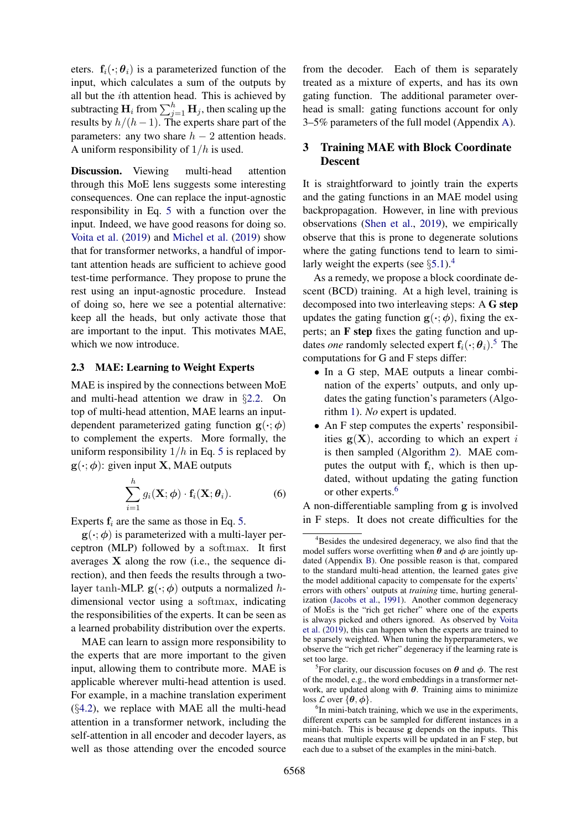eters.  $f_i(\cdot; \theta_i)$  is a parameterized function of the input, which calculates a sum of the outputs by all but the ith attention head. This is achieved by subtracting  $\mathbf{H}_i$  from  $\sum_{j=1}^h \mathbf{H}_j$ , then scaling up the results by  $h/(h-1)$ . The experts share part of the parameters: any two share  $h - 2$  attention heads. A uniform responsibility of  $1/h$  is used.

Discussion. Viewing multi-head attention through this MoE lens suggests some interesting consequences. One can replace the input-agnostic responsibility in Eq. [5](#page-1-5) with a function over the input. Indeed, we have good reasons for doing so. [Voita et al.](#page-9-5) [\(2019\)](#page-9-5) and [Michel et al.](#page-9-6) [\(2019\)](#page-9-6) show that for transformer networks, a handful of important attention heads are sufficient to achieve good test-time performance. They propose to prune the rest using an input-agnostic procedure. Instead of doing so, here we see a potential alternative: keep all the heads, but only activate those that are important to the input. This motivates MAE, which we now introduce.

## <span id="page-2-0"></span>2.3 MAE: Learning to Weight Experts

MAE is inspired by the connections between MoE and multi-head attention we draw in §[2.2.](#page-1-0) On top of multi-head attention, MAE learns an inputdependent parameterized gating function  $g(\cdot; \phi)$ to complement the experts. More formally, the uniform responsibility  $1/h$  in Eq. [5](#page-1-5) is replaced by  $g(\cdot;\phi)$ : given input **X**, MAE outputs

$$
\sum_{i=1}^{h} g_i(\mathbf{X}; \boldsymbol{\phi}) \cdot \mathbf{f}_i(\mathbf{X}; \boldsymbol{\theta}_i).
$$
 (6)

Experts  $f_i$  are the same as those in Eq. [5.](#page-1-5)

 $g(\cdot; \phi)$  is parameterized with a multi-layer perceptron (MLP) followed by a softmax. It first averages X along the row (i.e., the sequence direction), and then feeds the results through a twolayer tanh-MLP.  $g(\cdot; \phi)$  outputs a normalized hdimensional vector using a softmax, indicating the responsibilities of the experts. It can be seen as a learned probability distribution over the experts.

MAE can learn to assign more responsibility to the experts that are more important to the given input, allowing them to contribute more. MAE is applicable wherever multi-head attention is used. For example, in a machine translation experiment  $(\S4.2)$  $(\S4.2)$ , we replace with MAE all the multi-head attention in a transformer network, including the self-attention in all encoder and decoder layers, as well as those attending over the encoded source

from the decoder. Each of them is separately treated as a mixture of experts, and has its own gating function. The additional parameter overhead is small: gating functions account for only 3–5% parameters of the full model (Appendix [A\)](#page-10-0).

## <span id="page-2-1"></span>3 Training MAE with Block Coordinate Descent

It is straightforward to jointly train the experts and the gating functions in an MAE model using backpropagation. However, in line with previous observations [\(Shen et al.,](#page-9-10) [2019\)](#page-9-10), we empirically observe that this is prone to degenerate solutions where the gating functions tend to learn to similarly weight the experts (see  $\S 5.1$ ).<sup>[4](#page-2-2)</sup>

As a remedy, we propose a block coordinate descent (BCD) training. At a high level, training is decomposed into two interleaving steps: A G step updates the gating function  $g(\cdot; \phi)$ , fixing the experts; an F step fixes the gating function and updates *one* randomly selected expert  $f_i(\cdot; \theta_i)$ .<sup>[5](#page-2-3)</sup> The computations for G and F steps differ:

- In a G step, MAE outputs a linear combination of the experts' outputs, and only updates the gating function's parameters (Algorithm [1\)](#page-3-1). *No* expert is updated.
- An F step computes the experts' responsibilities  $g(X)$ , according to which an expert i is then sampled (Algorithm [2\)](#page-3-2). MAE computes the output with  $f_i$ , which is then updated, without updating the gating function or other experts.<sup>[6](#page-2-4)</sup>

<span id="page-2-5"></span>A non-differentiable sampling from g is involved in F steps. It does not create difficulties for the

<span id="page-2-2"></span><sup>&</sup>lt;sup>4</sup>Besides the undesired degeneracy, we also find that the model suffers worse overfitting when  $\theta$  and  $\phi$  are jointly updated (Appendix [B\)](#page-10-1). One possible reason is that, compared to the standard multi-head attention, the learned gates give the model additional capacity to compensate for the experts' errors with others' outputs at *training* time, hurting generalization [\(Jacobs et al.,](#page-8-4) [1991\)](#page-8-4). Another common degeneracy of MoEs is the "rich get richer" where one of the experts is always picked and others ignored. As observed by [Voita](#page-9-5) [et al.](#page-9-5) [\(2019\)](#page-9-5), this can happen when the experts are trained to be sparsely weighted. When tuning the hyperparameters, we observe the "rich get richer" degeneracy if the learning rate is set too large.

<span id="page-2-3"></span><sup>&</sup>lt;sup>5</sup>For clarity, our discussion focuses on  $\theta$  and  $\phi$ . The rest of the model, e.g., the word embeddings in a transformer network, are updated along with  $\theta$ . Training aims to minimize loss  $\mathcal L$  over  $\{\theta, \phi\}.$ 

<span id="page-2-4"></span><sup>&</sup>lt;sup>6</sup>In mini-batch training, which we use in the experiments, different experts can be sampled for different instances in a mini-batch. This is because g depends on the inputs. This means that multiple experts will be updated in an F step, but each due to a subset of the examples in the mini-batch.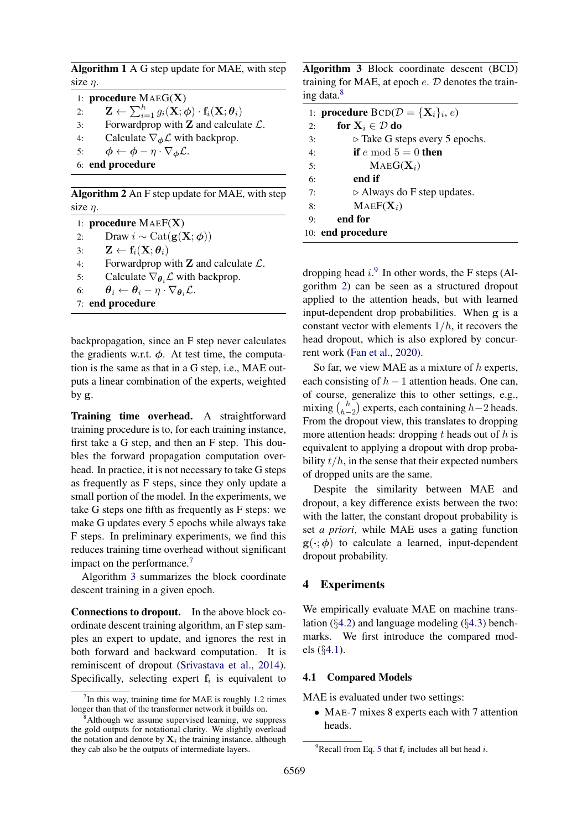<span id="page-3-1"></span>Algorithm 1 A G step update for MAE, with step size  $\eta$ .

|    | 1: procedure $MAEG(X)$                                                                                                          |
|----|---------------------------------------------------------------------------------------------------------------------------------|
| 2: | $\mathbf{Z} \leftarrow \sum_{i=1}^{h} g_i(\mathbf{X}; \boldsymbol{\phi}) \cdot \mathbf{f}_i(\mathbf{X}; \boldsymbol{\theta}_i)$ |
| 3: | Forwardprop with $Z$ and calculate $\mathcal{L}$ .                                                                              |
| 4: | Calculate $\nabla_{\phi} \mathcal{L}$ with backprop.                                                                            |
| 5: | $\phi \leftarrow \phi - \eta \cdot \nabla_{\phi} \mathcal{L}.$                                                                  |
|    | 6: end procedure                                                                                                                |

<span id="page-3-2"></span>Algorithm 2 An F step update for MAE, with step size  $\eta$ .

1: procedure MAEF(X) 2: Draw  $i \sim \text{Cat}(\mathbf{g}(\mathbf{X}; \boldsymbol{\phi}))$ 3:  $\mathbf{Z} \leftarrow \mathbf{f}_i(\mathbf{X}; \boldsymbol{\theta}_i)$ 4: Forwardprop with  $\mathbf Z$  and calculate  $\mathcal L$ . 5: Calculate  $\nabla_{\theta_i} \mathcal{L}$  with backprop. 6:  $\theta_i \leftarrow \theta_i - \eta \cdot \nabla_{\theta_i} \mathcal{L}.$ 7: end procedure

backpropagation, since an F step never calculates the gradients w.r.t.  $\phi$ . At test time, the computation is the same as that in a G step, i.e., MAE outputs a linear combination of the experts, weighted by g.

Training time overhead. A straightforward training procedure is to, for each training instance, first take a G step, and then an F step. This doubles the forward propagation computation overhead. In practice, it is not necessary to take G steps as frequently as F steps, since they only update a small portion of the model. In the experiments, we take G steps one fifth as frequently as F steps: we make G updates every 5 epochs while always take F steps. In preliminary experiments, we find this reduces training time overhead without significant impact on the performance.[7](#page-3-3)

Algorithm [3](#page-3-4) summarizes the block coordinate descent training in a given epoch.

Connections to dropout. In the above block coordinate descent training algorithm, an F step samples an expert to update, and ignores the rest in both forward and backward computation. It is reminiscent of dropout [\(Srivastava et al.,](#page-9-11) [2014\)](#page-9-11). Specifically, selecting expert  $f_i$  is equivalent to

<span id="page-3-4"></span>Algorithm 3 Block coordinate descent (BCD) training for MAE, at epoch  $e$ .  $D$  denotes the training data.[8](#page-3-5)

|    | 1: <b>procedure</b> $BCD(\mathcal{D} = {\mathbf{X}_i}_i, e)$ |
|----|--------------------------------------------------------------|
| 2: | for $X_i \in \mathcal{D}$ do                                 |
| 3: | $\triangleright$ Take G steps every 5 epochs.                |
| 4: | if e mod $5 = 0$ then                                        |
| 5: | $MAEG(X_i)$                                                  |
| 6: | end if                                                       |
| 7: | $\triangleright$ Always do F step updates.                   |
| 8: | $MAEF(X_i)$                                                  |
| 9: | end for                                                      |
|    | 10: end procedure                                            |

dropping head  $i$ .<sup>[9](#page-3-6)</sup> In other words, the F steps (Algorithm [2\)](#page-3-2) can be seen as a structured dropout applied to the attention heads, but with learned input-dependent drop probabilities. When g is a constant vector with elements  $1/h$ , it recovers the head dropout, which is also explored by concurrent work [\(Fan et al.,](#page-8-3) [2020\)](#page-8-3).

So far, we view MAE as a mixture of  $h$  experts, each consisting of  $h - 1$  attention heads. One can, of course, generalize this to other settings, e.g., mixing  $\binom{h}{h}$  $\binom{h}{h-2}$  experts, each containing  $h-2$  heads. From the dropout view, this translates to dropping more attention heads: dropping  $t$  heads out of  $h$  is equivalent to applying a dropout with drop probability  $t/h$ , in the sense that their expected numbers of dropped units are the same.

Despite the similarity between MAE and dropout, a key difference exists between the two: with the latter, the constant dropout probability is set *a priori*, while MAE uses a gating function  $g(\cdot; \phi)$  to calculate a learned, input-dependent dropout probability.

## <span id="page-3-0"></span>4 Experiments

We empirically evaluate MAE on machine translation ( $\S 4.2$ ) and language modeling ( $\S 4.3$ ) benchmarks. We first introduce the compared models (§[4.1\)](#page-3-7).

#### <span id="page-3-7"></span>4.1 Compared Models

MAE is evaluated under two settings:

• MAE-7 mixes 8 experts each with 7 attention heads.

<span id="page-3-3"></span> $7$ In this way, training time for MAE is roughly 1.2 times longer than that of the transformer network it builds on.

<span id="page-3-5"></span><sup>&</sup>lt;sup>8</sup>Although we assume supervised learning, we suppress the gold outputs for notational clarity. We slightly overload the notation and denote by  $X_i$  the training instance, although they cab also be the outputs of intermediate layers.

<span id="page-3-6"></span><sup>&</sup>lt;sup>9</sup>Recall from Eq. [5](#page-1-5) that  $f_i$  includes all but head *i*.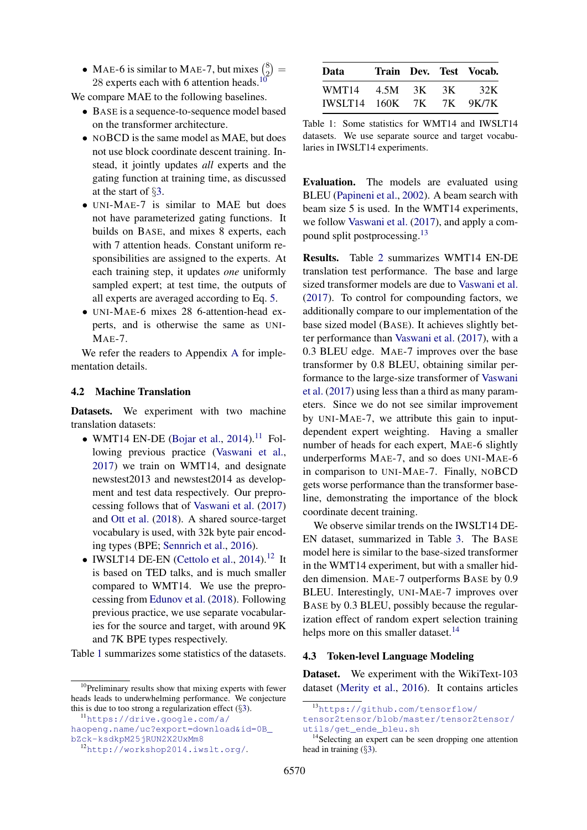• MAE-6 is similar to MAE-7, but mixes  $\binom{8}{2}$  ${8 \choose 2} =$ 28 experts each with 6 attention heads.<sup>[10](#page-4-2)</sup>

We compare MAE to the following baselines.

- BASE is a sequence-to-sequence model based on the transformer architecture.
- NOBCD is the same model as MAE, but does not use block coordinate descent training. Instead, it jointly updates *all* experts and the gating function at training time, as discussed at the start of §[3.](#page-2-1)
- UNI-MAE-7 is similar to MAE but does not have parameterized gating functions. It builds on BASE, and mixes 8 experts, each with 7 attention heads. Constant uniform responsibilities are assigned to the experts. At each training step, it updates *one* uniformly sampled expert; at test time, the outputs of all experts are averaged according to Eq. [5.](#page-1-5)
- UNI-MAE-6 mixes 28 6-attention-head experts, and is otherwise the same as UNI-MAE-7.

We refer the readers to Appendix [A](#page-10-0) for implementation details.

#### <span id="page-4-0"></span>4.2 Machine Translation

Datasets. We experiment with two machine translation datasets:

- WMT14 EN-DE [\(Bojar et al.,](#page-8-5) [2014\)](#page-8-5).<sup>[11](#page-4-3)</sup> Following previous practice [\(Vaswani et al.,](#page-9-0) [2017\)](#page-9-0) we train on WMT14, and designate newstest2013 and newstest2014 as development and test data respectively. Our preprocessing follows that of [Vaswani et al.](#page-9-0) [\(2017\)](#page-9-0) and [Ott et al.](#page-9-1) [\(2018\)](#page-9-1). A shared source-target vocabulary is used, with 32k byte pair encoding types (BPE; [Sennrich et al.,](#page-9-12) [2016\)](#page-9-12).
- IWSLT14 DE-EN [\(Cettolo et al.,](#page-8-6)  $2014$ ).<sup>[12](#page-4-4)</sup> It is based on TED talks, and is much smaller compared to WMT14. We use the preprocessing from [Edunov et al.](#page-8-7) [\(2018\)](#page-8-7). Following previous practice, we use separate vocabularies for the source and target, with around 9K and 7K BPE types respectively.

Table [1](#page-4-5) summarizes some statistics of the datasets.

<span id="page-4-5"></span>

| Data                     |  | Train Dev. Test Vocab. |
|--------------------------|--|------------------------|
| WMT14 4.5M 3K 3K 32K     |  |                        |
| IWSLT14 160K 7K 7K 9K/7K |  |                        |

Table 1: Some statistics for WMT14 and IWSLT14 datasets. We use separate source and target vocabularies in IWSLT14 experiments.

Evaluation. The models are evaluated using BLEU [\(Papineni et al.,](#page-9-13) [2002\)](#page-9-13). A beam search with beam size 5 is used. In the WMT14 experiments, we follow [Vaswani et al.](#page-9-0) [\(2017\)](#page-9-0), and apply a com-pound split postprocessing.<sup>[13](#page-4-6)</sup>

Results. Table [2](#page-5-2) summarizes WMT14 EN-DE translation test performance. The base and large sized transformer models are due to [Vaswani et al.](#page-9-0) [\(2017\)](#page-9-0). To control for compounding factors, we additionally compare to our implementation of the base sized model (BASE). It achieves slightly better performance than [Vaswani et al.](#page-9-0) [\(2017\)](#page-9-0), with a 0.3 BLEU edge. MAE-7 improves over the base transformer by 0.8 BLEU, obtaining similar performance to the large-size transformer of [Vaswani](#page-9-0) [et al.](#page-9-0) [\(2017\)](#page-9-0) using less than a third as many parameters. Since we do not see similar improvement by UNI-MAE-7, we attribute this gain to inputdependent expert weighting. Having a smaller number of heads for each expert, MAE-6 slightly underperforms MAE-7, and so does UNI-MAE-6 in comparison to UNI-MAE-7. Finally, NOBCD gets worse performance than the transformer baseline, demonstrating the importance of the block coordinate decent training.

We observe similar trends on the IWSLT14 DE-EN dataset, summarized in Table [3.](#page-5-3) The BASE model here is similar to the base-sized transformer in the WMT14 experiment, but with a smaller hidden dimension. MAE-7 outperforms BASE by 0.9 BLEU. Interestingly, UNI-MAE-7 improves over BASE by 0.3 BLEU, possibly because the regularization effect of random expert selection training helps more on this smaller dataset.<sup>[14](#page-4-7)</sup>

#### <span id="page-4-1"></span>4.3 Token-level Language Modeling

Dataset. We experiment with the WikiText-103 dataset [\(Merity et al.,](#page-9-14) [2016\)](#page-9-14). It contains articles

<span id="page-4-2"></span><sup>&</sup>lt;sup>10</sup>Preliminary results show that mixing experts with fewer heads leads to underwhelming performance. We conjecture this is due to too strong a regularization effect  $(\S$ [3\)](#page-2-1).

<span id="page-4-3"></span><sup>11</sup>[https://drive.google.com/a/](https://drive.google.com/a/haopeng.name/uc?export=download&id=0B_bZck-ksdkpM25jRUN2X2UxMm8)

[haopeng.name/uc?export=download&id=0B\\_](https://drive.google.com/a/haopeng.name/uc?export=download&id=0B_bZck-ksdkpM25jRUN2X2UxMm8) [bZck-ksdkpM25jRUN2X2UxMm8](https://drive.google.com/a/haopeng.name/uc?export=download&id=0B_bZck-ksdkpM25jRUN2X2UxMm8)

<span id="page-4-4"></span><sup>12</sup><http://workshop2014.iwslt.org/>.

<span id="page-4-6"></span><sup>13</sup>[https://github.com/tensorflow/](https://github.com/tensorflow/tensor2tensor/blob/master/tensor2tensor/utils/get_ende_bleu.sh)

[tensor2tensor/blob/master/tensor2tensor/](https://github.com/tensorflow/tensor2tensor/blob/master/tensor2tensor/utils/get_ende_bleu.sh) [utils/get\\_ende\\_bleu.sh](https://github.com/tensorflow/tensor2tensor/blob/master/tensor2tensor/utils/get_ende_bleu.sh)

<span id="page-4-7"></span><sup>&</sup>lt;sup>14</sup>Selecting an expert can be seen dropping one attention head in training (§[3\)](#page-2-1).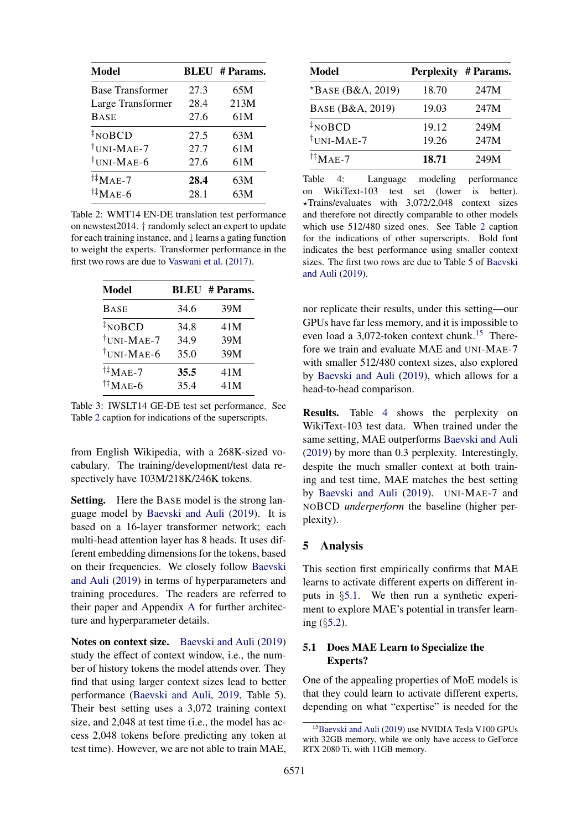<span id="page-5-2"></span>

| Model                      |      | <b>BLEU</b> # Params. |
|----------------------------|------|-----------------------|
| <b>Base Transformer</b>    | 27.3 | 65M                   |
| Large Transformer          | 28.4 | 213M                  |
| <b>BASE</b>                | 27.6 | 61M                   |
| $\sqrt[4]{\text{NOBCD}}$   | 27.5 | 63M                   |
| <sup>†</sup> UNI-MAE-7     | 27.7 | 61M                   |
| <sup>†</sup> UNI-MAE-6     | 27.6 | 61M                   |
| $^{\dagger\ddagger}$ MAE-7 | 28.4 | 63M                   |
| $^{\dagger\ddagger}$ Mae-6 | 28.1 | 63M                   |

Table 2: WMT14 EN-DE translation test performance on newstest2014. † randomly select an expert to update for each training instance, and ‡ learns a gating function to weight the experts. Transformer performance in the first two rows are due to [Vaswani et al.](#page-9-0) [\(2017\)](#page-9-0).

<span id="page-5-3"></span>

| Model                       |      | <b>BLEU</b> # Params. |
|-----------------------------|------|-----------------------|
| <b>BASE</b>                 | 34.6 | 39M                   |
| $\sqrt[{\ddagger}]{N}$ OBCD | 34.8 | 41M                   |
| $\dagger$ UNI-MAE-7         | 34.9 | 39M                   |
| <sup>†</sup> UNI-MAE-6      | 35.0 | 39M                   |
| $^{\dagger\ddagger}$ MAE-7  | 35.5 | 41M                   |
| $^{\dagger\ddagger}$ MAE-6  | 35.4 | 41M                   |

Table 3: IWSLT14 GE-DE test set performance. See Table [2](#page-5-2) caption for indications of the superscripts.

from English Wikipedia, with a 268K-sized vocabulary. The training/development/test data respectively have 103M/218K/246K tokens.

Setting. Here the BASE model is the strong language model by [Baevski and Auli](#page-8-0) [\(2019\)](#page-8-0). It is based on a 16-layer transformer network; each multi-head attention layer has 8 heads. It uses different embedding dimensions for the tokens, based on their frequencies. We closely follow [Baevski](#page-8-0) [and Auli](#page-8-0) [\(2019\)](#page-8-0) in terms of hyperparameters and training procedures. The readers are referred to their paper and Appendix [A](#page-10-0) for further architecture and hyperparameter details.

Notes on context size. [Baevski and Auli](#page-8-0) [\(2019\)](#page-8-0) study the effect of context window, i.e., the number of history tokens the model attends over. They find that using larger context sizes lead to better performance [\(Baevski and Auli,](#page-8-0) [2019,](#page-8-0) Table 5). Their best setting uses a 3,072 training context size, and 2,048 at test time (i.e., the model has access 2,048 tokens before predicting any token at test time). However, we are not able to train MAE,

<span id="page-5-5"></span>

| <b>Model</b>               |       | <b>Perplexity # Params.</b> |
|----------------------------|-------|-----------------------------|
| $*BASE(B&A, 2019)$         | 18.70 | 247M                        |
| BASE (B&A, 2019)           | 19.03 | 247M                        |
| $\overline{N}$ NOBCD       | 19.12 | 249M                        |
| $\dagger$ UNI-MAE-7        | 19.26 | 247M                        |
| $^{\dagger\ddagger}$ MAE-7 | 18.71 | 249M                        |

Table 4: Language modeling performance on WikiText-103 test set (lower is better).  $\star$ Trains/evaluates with 3,072/2,048 context sizes and therefore not directly comparable to other models which use 512/480 sized ones. See Table [2](#page-5-2) caption for the indications of other superscripts. Bold font indicates the best performance using smaller context sizes. The first two rows are due to Table 5 of [Baevski](#page-8-0) [and Auli](#page-8-0) [\(2019\)](#page-8-0).

nor replicate their results, under this setting—our GPUs have far less memory, and it is impossible to even load a 3,072-token context chunk.<sup>[15](#page-5-4)</sup> Therefore we train and evaluate MAE and UNI-MAE-7 with smaller 512/480 context sizes, also explored by [Baevski and Auli](#page-8-0) [\(2019\)](#page-8-0), which allows for a head-to-head comparison.

Results. Table [4](#page-5-5) shows the perplexity on WikiText-103 test data. When trained under the same setting, MAE outperforms [Baevski and Auli](#page-8-0) [\(2019\)](#page-8-0) by more than 0.3 perplexity. Interestingly, despite the much smaller context at both training and test time, MAE matches the best setting by [Baevski and Auli](#page-8-0) [\(2019\)](#page-8-0). UNI-MAE-7 and NOBCD *underperform* the baseline (higher perplexity).

## <span id="page-5-0"></span>5 Analysis

This section first empirically confirms that MAE learns to activate different experts on different inputs in §[5.1.](#page-5-1) We then run a synthetic experiment to explore MAE's potential in transfer learning (§[5.2\)](#page-6-0).

## <span id="page-5-1"></span>5.1 Does MAE Learn to Specialize the Experts?

One of the appealing properties of MoE models is that they could learn to activate different experts, depending on what "expertise" is needed for the

<span id="page-5-4"></span><sup>15</sup>[Baevski and Auli](#page-8-0) [\(2019\)](#page-8-0) use NVIDIA Tesla V100 GPUs with 32GB memory, while we only have access to GeForce RTX 2080 Ti, with 11GB memory.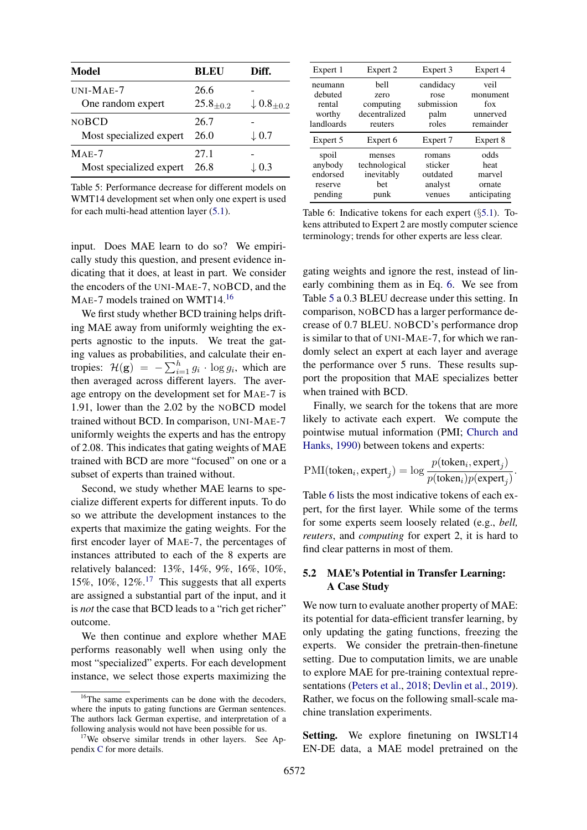<span id="page-6-3"></span>

| <b>Model</b>                            | BLEU                  | Diff.                      |
|-----------------------------------------|-----------------------|----------------------------|
| $UNI-MAE-7$<br>One random expert        | 26.6<br>$25.8_{+0.2}$ | $\downarrow 0.8_{\pm 0.2}$ |
| <b>NOBCD</b><br>Most specialized expert | 26.7<br>26.0          | $\downarrow 0.7$           |
| $MAE-7$<br>Most specialized expert      | 27.1<br>26.8          | $\downarrow$ 0.3           |

Table 5: Performance decrease for different models on WMT14 development set when only one expert is used for each multi-head attention layer [\(5.1\)](#page-5-1).

input. Does MAE learn to do so? We empirically study this question, and present evidence indicating that it does, at least in part. We consider the encoders of the UNI-MAE-7, NOBCD, and the MAE-7 models trained on WMT14.<sup>[16](#page-6-1)</sup>

We first study whether BCD training helps drifting MAE away from uniformly weighting the experts agnostic to the inputs. We treat the gating values as probabilities, and calculate their entropies:  $\mathcal{H}(\mathbf{g}) = -\sum_{i=1}^{h} g_i \cdot \log g_i$ , which are then averaged across different layers. The average entropy on the development set for MAE-7 is 1.91, lower than the 2.02 by the NOBCD model trained without BCD. In comparison, UNI-MAE-7 uniformly weights the experts and has the entropy of 2.08. This indicates that gating weights of MAE trained with BCD are more "focused" on one or a subset of experts than trained without.

Second, we study whether MAE learns to specialize different experts for different inputs. To do so we attribute the development instances to the experts that maximize the gating weights. For the first encoder layer of MAE-7, the percentages of instances attributed to each of the 8 experts are relatively balanced: 13%, 14%, 9%, 16%, 10%, 15%, 10%, 12%.<sup>[17](#page-6-2)</sup> This suggests that all experts are assigned a substantial part of the input, and it is *not* the case that BCD leads to a "rich get richer" outcome.

We then continue and explore whether MAE performs reasonably well when using only the most "specialized" experts. For each development instance, we select those experts maximizing the

<span id="page-6-4"></span>

| Expert 1           | Expert 2                           | Expert 3           | Expert 4         |
|--------------------|------------------------------------|--------------------|------------------|
| neumann<br>debuted | bell                               | candidacy<br>rose  | veil<br>monument |
| rental<br>worthy   | zero<br>computing<br>decentralized | submission<br>palm | fox<br>unnerved  |
| landloards         | reuters                            | roles              | remainder        |
|                    |                                    |                    |                  |
| Expert 5           | Expert 6                           | Expert 7           | Expert 8         |
| spoil              | menses                             | romans             | odds             |
| anybody            | technological                      | sticker            | heat             |
| endorsed           | inevitably                         | outdated           | marvel           |
| reserve            | bet                                | analyst            | ornate           |

Table 6: Indicative tokens for each expert (§[5.1\)](#page-5-1). Tokens attributed to Expert 2 are mostly computer science terminology; trends for other experts are less clear.

gating weights and ignore the rest, instead of linearly combining them as in Eq. [6.](#page-2-5) We see from Table [5](#page-6-3) a 0.3 BLEU decrease under this setting. In comparison, NOBCD has a larger performance decrease of 0.7 BLEU. NOBCD's performance drop is similar to that of UNI-MAE-7, for which we randomly select an expert at each layer and average the performance over 5 runs. These results support the proposition that MAE specializes better when trained with BCD.

Finally, we search for the tokens that are more likely to activate each expert. We compute the pointwise mutual information (PMI; [Church and](#page-8-8) [Hanks,](#page-8-8) [1990\)](#page-8-8) between tokens and experts:

$$
PMI(tokeni, expertj) = log \frac{p(tokeni, expertj)}{p(tokeni)p(expertj)}.
$$

Table [6](#page-6-4) lists the most indicative tokens of each expert, for the first layer. While some of the terms for some experts seem loosely related (e.g., *bell, reuters*, and *computing* for expert 2, it is hard to find clear patterns in most of them.

## <span id="page-6-0"></span>5.2 MAE's Potential in Transfer Learning: A Case Study

We now turn to evaluate another property of MAE: its potential for data-efficient transfer learning, by only updating the gating functions, freezing the experts. We consider the pretrain-then-finetune setting. Due to computation limits, we are unable to explore MAE for pre-training contextual representations [\(Peters et al.,](#page-9-15) [2018;](#page-9-15) [Devlin et al.,](#page-8-1) [2019\)](#page-8-1). Rather, we focus on the following small-scale machine translation experiments.

Setting. We explore finetuning on IWSLT14 EN-DE data, a MAE model pretrained on the

<span id="page-6-1"></span><sup>&</sup>lt;sup>16</sup>The same experiments can be done with the decoders, where the inputs to gating functions are German sentences. The authors lack German expertise, and interpretation of a following analysis would not have been possible for us.

<span id="page-6-2"></span><sup>&</sup>lt;sup>17</sup>We observe similar trends in other layers. See Appendix [C](#page-10-2) for more details.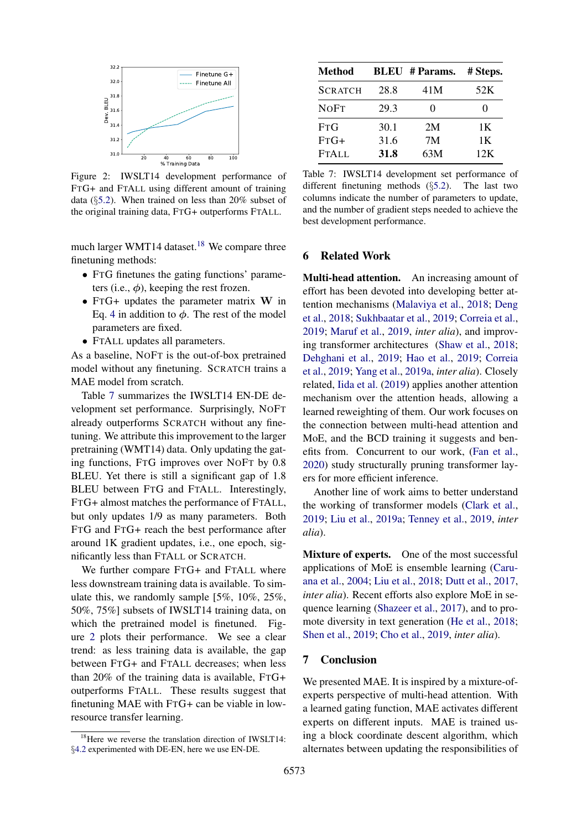<span id="page-7-2"></span>

Figure 2: IWSLT14 development performance of FTG+ and FTALL using different amount of training data (§[5.2\)](#page-6-0). When trained on less than 20% subset of the original training data, FTG+ outperforms FTALL.

much larger WMT14 dataset.<sup>[18](#page-7-0)</sup> We compare three finetuning methods:

- FTG finetunes the gating functions' parameters (i.e.,  $\phi$ ), keeping the rest frozen.
- FTG+ updates the parameter matrix W in Eq. [4](#page-1-4) in addition to  $\phi$ . The rest of the model parameters are fixed.
- FTALL updates all parameters.

As a baseline, NOFT is the out-of-box pretrained model without any finetuning. SCRATCH trains a MAE model from scratch.

Table [7](#page-7-1) summarizes the IWSLT14 EN-DE development set performance. Surprisingly, NOFT already outperforms SCRATCH without any finetuning. We attribute this improvement to the larger pretraining (WMT14) data. Only updating the gating functions, FTG improves over NOFT by 0.8 BLEU. Yet there is still a significant gap of 1.8 BLEU between FTG and FTALL. Interestingly, FTG+ almost matches the performance of FTALL, but only updates 1/9 as many parameters. Both FTG and FTG+ reach the best performance after around 1K gradient updates, i.e., one epoch, significantly less than FTALL or SCRATCH.

We further compare FTG+ and FTALL where less downstream training data is available. To simulate this, we randomly sample [5%, 10%, 25%, 50%, 75%] subsets of IWSLT14 training data, on which the pretrained model is finetuned. Figure [2](#page-7-2) plots their performance. We see a clear trend: as less training data is available, the gap between FTG+ and FTALL decreases; when less than 20% of the training data is available, FTG+ outperforms FTALL. These results suggest that finetuning MAE with FTG+ can be viable in lowresource transfer learning.

<span id="page-7-1"></span>

| <b>Method</b>  |      | <b>BLEU</b> # Params. | # Steps.          |  |
|----------------|------|-----------------------|-------------------|--|
| <b>SCRATCH</b> | 28.8 | 41M                   | 52K               |  |
| <b>NOFT</b>    | 29.3 | 0                     | $\mathbf{\Omega}$ |  |
| FTG            | 30.1 | 2M                    | 1 K               |  |
| $FTG+$         | 31.6 | 7M                    | 1 K               |  |
| <b>FTALL</b>   | 31.8 | 63M                   | 12K               |  |

Table 7: IWSLT14 development set performance of different finetuning methods (§[5.2\)](#page-6-0). The last two columns indicate the number of parameters to update, and the number of gradient steps needed to achieve the best development performance.

## 6 Related Work

Multi-head attention. An increasing amount of effort has been devoted into developing better attention mechanisms [\(Malaviya et al.,](#page-8-9) [2018;](#page-8-9) [Deng](#page-8-10) [et al.,](#page-8-10) [2018;](#page-8-10) [Sukhbaatar et al.,](#page-9-16) [2019;](#page-9-16) [Correia et al.,](#page-8-11) [2019;](#page-8-11) [Maruf et al.,](#page-9-17) [2019,](#page-9-17) *inter alia*), and improving transformer architectures [\(Shaw et al.,](#page-9-18) [2018;](#page-9-18) [Dehghani et al.,](#page-8-12) [2019;](#page-8-12) [Hao et al.,](#page-8-13) [2019;](#page-8-13) [Correia](#page-8-11) [et al.,](#page-8-11) [2019;](#page-8-11) [Yang et al.,](#page-9-19) [2019a,](#page-9-19) *inter alia*). Closely related, [Iida et al.](#page-8-14) [\(2019\)](#page-8-14) applies another attention mechanism over the attention heads, allowing a learned reweighting of them. Our work focuses on the connection between multi-head attention and MoE, and the BCD training it suggests and benefits from. Concurrent to our work, [\(Fan et al.,](#page-8-3) [2020\)](#page-8-3) study structurally pruning transformer layers for more efficient inference.

Another line of work aims to better understand the working of transformer models [\(Clark et al.,](#page-8-15) [2019;](#page-8-15) [Liu et al.,](#page-8-16) [2019a;](#page-8-16) [Tenney et al.,](#page-9-20) [2019,](#page-9-20) *inter alia*).

Mixture of experts. One of the most successful applications of MoE is ensemble learning [\(Caru](#page-8-17)[ana et al.,](#page-8-17) [2004;](#page-8-17) [Liu et al.,](#page-8-18) [2018;](#page-8-18) [Dutt et al.,](#page-8-19) [2017,](#page-8-19) *inter alia*). Recent efforts also explore MoE in sequence learning [\(Shazeer et al.,](#page-9-21) [2017\)](#page-9-21), and to promote diversity in text generation [\(He et al.,](#page-8-20) [2018;](#page-8-20) [Shen et al.,](#page-9-10) [2019;](#page-9-10) [Cho et al.,](#page-8-21) [2019,](#page-8-21) *inter alia*).

#### 7 Conclusion

We presented MAE. It is inspired by a mixture-ofexperts perspective of multi-head attention. With a learned gating function, MAE activates different experts on different inputs. MAE is trained using a block coordinate descent algorithm, which alternates between updating the responsibilities of

<span id="page-7-0"></span><sup>&</sup>lt;sup>18</sup>Here we reverse the translation direction of IWSLT14: §[4.2](#page-4-0) experimented with DE-EN, here we use EN-DE.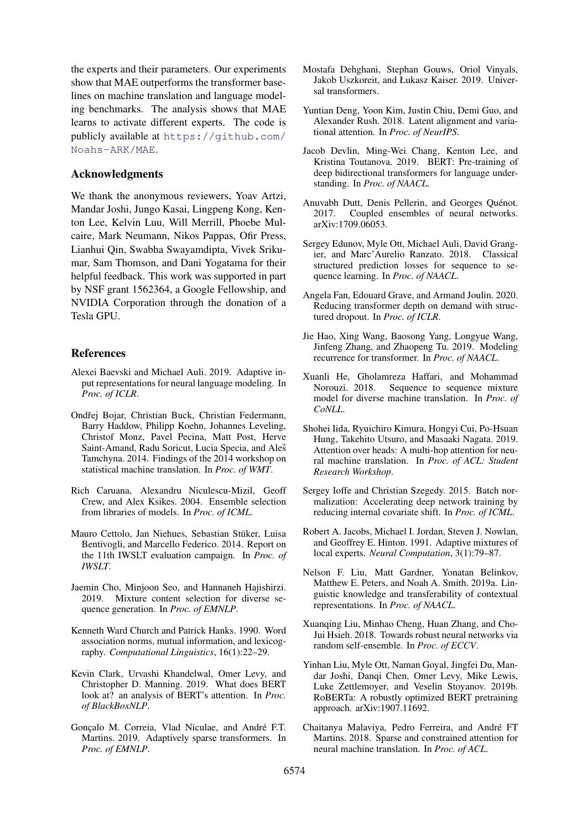the experts and their parameters. Our experiments show that MAE outperforms the transformer baselines on machine translation and language modeling benchmarks. The analysis shows that MAE learns to activate different experts. The code is publicly available at [https://github.com/](https://github.com/Noahs-ARK/MAE) [Noahs-ARK/MAE](https://github.com/Noahs-ARK/MAE).

#### Acknowledgments

We thank the anonymous reviewers, Yoav Artzi, Mandar Joshi, Jungo Kasai, Lingpeng Kong, Kenton Lee, Kelvin Luu, Will Merrill, Phoebe Mulcaire, Mark Neumann, Nikos Pappas, Ofir Press, Lianhui Qin, Swabha Swayamdipta, Vivek Srikumar, Sam Thomson, and Dani Yogatama for their helpful feedback. This work was supported in part by NSF grant 1562364, a Google Fellowship, and NVIDIA Corporation through the donation of a Tesla GPU.

## References

- <span id="page-8-0"></span>Alexei Baevski and Michael Auli. 2019. Adaptive input representations for neural language modeling. In *Proc. of ICLR*.
- <span id="page-8-5"></span>Ondřej Bojar, Christian Buck, Christian Federmann, Barry Haddow, Philipp Koehn, Johannes Leveling, Christof Monz, Pavel Pecina, Matt Post, Herve Saint-Amand, Radu Soricut, Lucia Specia, and Aleš Tamchyna. 2014. Findings of the 2014 workshop on statistical machine translation. In *Proc. of WMT*.
- <span id="page-8-17"></span>Rich Caruana, Alexandru Niculescu-Mizil, Geoff Crew, and Alex Ksikes. 2004. Ensemble selection from libraries of models. In *Proc. of ICML*.
- <span id="page-8-6"></span>Mauro Cettolo, Jan Niehues, Sebastian Stuker, Luisa ¨ Bentivogli, and Marcello Federico. 2014. Report on the 11th IWSLT evaluation campaign. In *Proc. of IWSLT*.
- <span id="page-8-21"></span>Jaemin Cho, Minjoon Seo, and Hannaneh Hajishirzi. 2019. Mixture content selection for diverse sequence generation. In *Proc. of EMNLP*.
- <span id="page-8-8"></span>Kenneth Ward Church and Patrick Hanks. 1990. Word association norms, mutual information, and lexicography. *Computational Linguistics*, 16(1):22–29.
- <span id="page-8-15"></span>Kevin Clark, Urvashi Khandelwal, Omer Levy, and Christopher D. Manning. 2019. What does BERT look at? an analysis of BERT's attention. In *Proc. of BlackBoxNLP*.
- <span id="page-8-11"></span>Gonçalo M. Correia, Vlad Niculae, and André F.T. Martins. 2019. Adaptively sparse transformers. In *Proc. of EMNLP*.
- <span id="page-8-12"></span>Mostafa Dehghani, Stephan Gouws, Oriol Vinyals, Jakob Uszkoreit, and Łukasz Kaiser. 2019. Universal transformers.
- <span id="page-8-10"></span>Yuntian Deng, Yoon Kim, Justin Chiu, Demi Guo, and Alexander Rush. 2018. Latent alignment and variational attention. In *Proc. of NeurIPS*.
- <span id="page-8-1"></span>Jacob Devlin, Ming-Wei Chang, Kenton Lee, and Kristina Toutanova. 2019. BERT: Pre-training of deep bidirectional transformers for language understanding. In *Proc. of NAACL*.
- <span id="page-8-19"></span>Anuvabh Dutt, Denis Pellerin, and Georges Quénot.<br>
2017. Coupled ensembles of neural networks. Coupled ensembles of neural networks. arXiv:1709.06053.
- <span id="page-8-7"></span>Sergey Edunov, Myle Ott, Michael Auli, David Grangier, and Marc'Aurelio Ranzato. 2018. Classical structured prediction losses for sequence to sequence learning. In *Proc. of NAACL*.
- <span id="page-8-3"></span>Angela Fan, Edouard Grave, and Armand Joulin. 2020. Reducing transformer depth on demand with structured dropout. In *Proc. of ICLR*.
- <span id="page-8-13"></span>Jie Hao, Xing Wang, Baosong Yang, Longyue Wang, Jinfeng Zhang, and Zhaopeng Tu. 2019. Modeling recurrence for transformer. In *Proc. of NAACL*.
- <span id="page-8-20"></span>Xuanli He, Gholamreza Haffari, and Mohammad Norouzi. 2018. Sequence to sequence mixture model for diverse machine translation. In *Proc. of CoNLL*.
- <span id="page-8-14"></span>Shohei Iida, Ryuichiro Kimura, Hongyi Cui, Po-Hsuan Hung, Takehito Utsuro, and Masaaki Nagata. 2019. Attention over heads: A multi-hop attention for neural machine translation. In *Proc. of ACL: Student Research Workshop*.
- <span id="page-8-22"></span>Sergey Ioffe and Christian Szegedy. 2015. Batch normalization: Accelerating deep network training by reducing internal covariate shift. In *Proc. of ICML*.
- <span id="page-8-4"></span>Robert A. Jacobs, Michael I. Jordan, Steven J. Nowlan, and Geoffrey E. Hinton. 1991. Adaptive mixtures of local experts. *Neural Computation*, 3(1):79–87.
- <span id="page-8-16"></span>Nelson F. Liu, Matt Gardner, Yonatan Belinkov, Matthew E. Peters, and Noah A. Smith. 2019a. Linguistic knowledge and transferability of contextual representations. In *Proc. of NAACL*.
- <span id="page-8-18"></span>Xuanqing Liu, Minhao Cheng, Huan Zhang, and Cho-Jui Hsieh. 2018. Towards robust neural networks via random self-ensemble. In *Proc. of ECCV*.
- <span id="page-8-2"></span>Yinhan Liu, Myle Ott, Naman Goyal, Jingfei Du, Mandar Joshi, Danqi Chen, Omer Levy, Mike Lewis, Luke Zettlemoyer, and Veselin Stoyanov. 2019b. RoBERTa: A robustly optimized BERT pretraining approach. arXiv:1907.11692.
- <span id="page-8-9"></span>Chaitanya Malaviya, Pedro Ferreira, and Andre FT ´ Martins. 2018. Sparse and constrained attention for neural machine translation. In *Proc. of ACL*.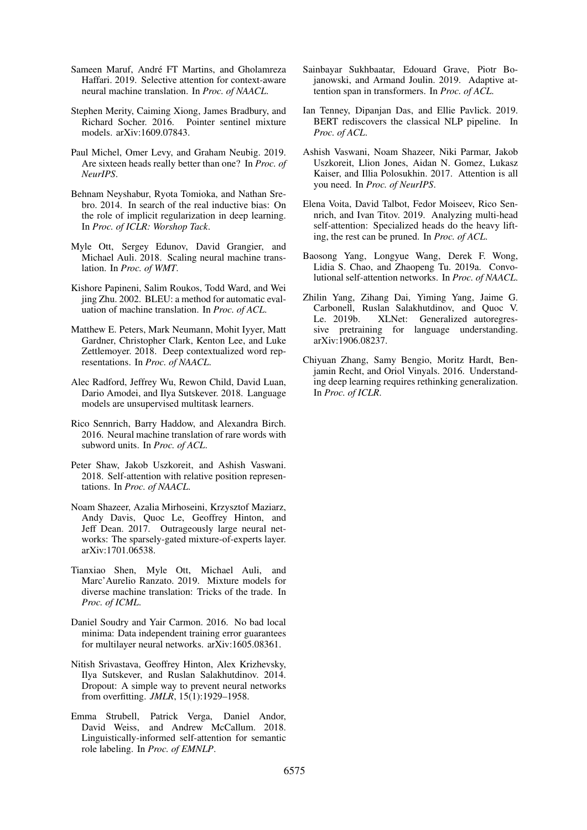- <span id="page-9-17"></span>Sameen Maruf, André FT Martins, and Gholamreza Haffari. 2019. Selective attention for context-aware neural machine translation. In *Proc. of NAACL*.
- <span id="page-9-14"></span>Stephen Merity, Caiming Xiong, James Bradbury, and Richard Socher. 2016. Pointer sentinel mixture models. arXiv:1609.07843.
- <span id="page-9-6"></span>Paul Michel, Omer Levy, and Graham Neubig. 2019. Are sixteen heads really better than one? In *Proc. of NeurIPS*.
- <span id="page-9-7"></span>Behnam Neyshabur, Ryota Tomioka, and Nathan Srebro. 2014. In search of the real inductive bias: On the role of implicit regularization in deep learning. In *Proc. of ICLR: Worshop Tack*.
- <span id="page-9-1"></span>Myle Ott, Sergey Edunov, David Grangier, and Michael Auli. 2018. Scaling neural machine translation. In *Proc. of WMT*.
- <span id="page-9-13"></span>Kishore Papineni, Salim Roukos, Todd Ward, and Wei jing Zhu. 2002. BLEU: a method for automatic evaluation of machine translation. In *Proc. of ACL*.
- <span id="page-9-15"></span>Matthew E. Peters, Mark Neumann, Mohit Iyyer, Matt Gardner, Christopher Clark, Kenton Lee, and Luke Zettlemoyer. 2018. Deep contextualized word representations. In *Proc. of NAACL*.
- <span id="page-9-2"></span>Alec Radford, Jeffrey Wu, Rewon Child, David Luan, Dario Amodei, and Ilya Sutskever. 2018. Language models are unsupervised multitask learners.
- <span id="page-9-12"></span>Rico Sennrich, Barry Haddow, and Alexandra Birch. 2016. Neural machine translation of rare words with subword units. In *Proc. of ACL*.
- <span id="page-9-18"></span>Peter Shaw, Jakob Uszkoreit, and Ashish Vaswani. 2018. Self-attention with relative position representations. In *Proc. of NAACL*.
- <span id="page-9-21"></span>Noam Shazeer, Azalia Mirhoseini, Krzysztof Maziarz, Andy Davis, Quoc Le, Geoffrey Hinton, and Jeff Dean. 2017. Outrageously large neural networks: The sparsely-gated mixture-of-experts layer. arXiv:1701.06538.
- <span id="page-9-10"></span>Tianxiao Shen, Myle Ott, Michael Auli, and Marc'Aurelio Ranzato. 2019. Mixture models for diverse machine translation: Tricks of the trade. In *Proc. of ICML*.
- <span id="page-9-9"></span>Daniel Soudry and Yair Carmon. 2016. No bad local minima: Data independent training error guarantees for multilayer neural networks. arXiv:1605.08361.
- <span id="page-9-11"></span>Nitish Srivastava, Geoffrey Hinton, Alex Krizhevsky, Ilya Sutskever, and Ruslan Salakhutdinov. 2014. Dropout: A simple way to prevent neural networks from overfitting. *JMLR*, 15(1):1929–1958.
- <span id="page-9-3"></span>Emma Strubell, Patrick Verga, Daniel Andor, David Weiss, and Andrew McCallum. 2018. Linguistically-informed self-attention for semantic role labeling. In *Proc. of EMNLP*.
- <span id="page-9-16"></span>Sainbayar Sukhbaatar, Edouard Grave, Piotr Bojanowski, and Armand Joulin. 2019. Adaptive attention span in transformers. In *Proc. of ACL*.
- <span id="page-9-20"></span>Ian Tenney, Dipanjan Das, and Ellie Pavlick. 2019. BERT rediscovers the classical NLP pipeline. In *Proc. of ACL*.
- <span id="page-9-0"></span>Ashish Vaswani, Noam Shazeer, Niki Parmar, Jakob Uszkoreit, Llion Jones, Aidan N. Gomez, Lukasz Kaiser, and Illia Polosukhin. 2017. Attention is all you need. In *Proc. of NeurIPS*.
- <span id="page-9-5"></span>Elena Voita, David Talbot, Fedor Moiseev, Rico Sennrich, and Ivan Titov. 2019. Analyzing multi-head self-attention: Specialized heads do the heavy lifting, the rest can be pruned. In *Proc. of ACL*.
- <span id="page-9-19"></span>Baosong Yang, Longyue Wang, Derek F. Wong, Lidia S. Chao, and Zhaopeng Tu. 2019a. Convolutional self-attention networks. In *Proc. of NAACL*.
- <span id="page-9-4"></span>Zhilin Yang, Zihang Dai, Yiming Yang, Jaime G. Carbonell, Ruslan Salakhutdinov, and Quoc V. Le. 2019b. XLNet: Generalized autoregressive pretraining for language understanding. arXiv:1906.08237.
- <span id="page-9-8"></span>Chiyuan Zhang, Samy Bengio, Moritz Hardt, Benjamin Recht, and Oriol Vinyals. 2016. Understanding deep learning requires rethinking generalization. In *Proc. of ICLR*.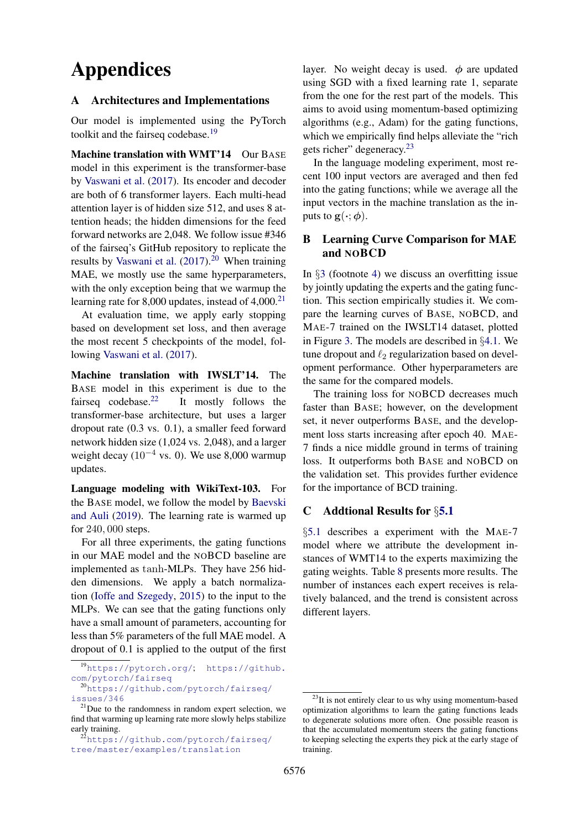# Appendices

#### <span id="page-10-0"></span>A Architectures and Implementations

Our model is implemented using the PyTorch toolkit and the fairseq codebase.<sup>[19](#page-10-3)</sup>

Machine translation with WMT'14 Our BASE model in this experiment is the transformer-base by [Vaswani et al.](#page-9-0) [\(2017\)](#page-9-0). Its encoder and decoder are both of 6 transformer layers. Each multi-head attention layer is of hidden size 512, and uses 8 attention heads; the hidden dimensions for the feed forward networks are 2,048. We follow issue #346 of the fairseq's GitHub repository to replicate the results by [Vaswani et al.](#page-9-0)  $(2017).^{20}$  $(2017).^{20}$  $(2017).^{20}$  $(2017).^{20}$  When training MAE, we mostly use the same hyperparameters, with the only exception being that we warmup the learning rate for 8,000 updates, instead of  $4,000$ <sup>[21](#page-10-5)</sup>

At evaluation time, we apply early stopping based on development set loss, and then average the most recent 5 checkpoints of the model, following [Vaswani et al.](#page-9-0) [\(2017\)](#page-9-0).

Machine translation with IWSLT'14. The BASE model in this experiment is due to the fairseq codebase.<sup>[22](#page-10-6)</sup> It mostly follows the transformer-base architecture, but uses a larger dropout rate (0.3 vs. 0.1), a smaller feed forward network hidden size (1,024 vs. 2,048), and a larger weight decay ( $10^{-4}$  vs. 0). We use 8,000 warmup updates.

Language modeling with WikiText-103. For the BASE model, we follow the model by [Baevski](#page-8-0) [and Auli](#page-8-0) [\(2019\)](#page-8-0). The learning rate is warmed up for 240, 000 steps.

For all three experiments, the gating functions in our MAE model and the NOBCD baseline are implemented as tanh-MLPs. They have 256 hidden dimensions. We apply a batch normalization [\(Ioffe and Szegedy,](#page-8-22) [2015\)](#page-8-22) to the input to the MLPs. We can see that the gating functions only have a small amount of parameters, accounting for less than 5% parameters of the full MAE model. A dropout of 0.1 is applied to the output of the first layer. No weight decay is used.  $\phi$  are updated using SGD with a fixed learning rate 1, separate from the one for the rest part of the models. This aims to avoid using momentum-based optimizing algorithms (e.g., Adam) for the gating functions, which we empirically find helps alleviate the "rich" gets richer" degeneracy.<sup>[23](#page-10-7)</sup>

In the language modeling experiment, most recent 100 input vectors are averaged and then fed into the gating functions; while we average all the input vectors in the machine translation as the inputs to  $\mathbf{g}(\cdot; \boldsymbol{\phi})$ .

## <span id="page-10-1"></span>B Learning Curve Comparison for MAE and NOBCD

In §[3](#page-2-1) (footnote [4\)](#page-2-2) we discuss an overfitting issue by jointly updating the experts and the gating function. This section empirically studies it. We compare the learning curves of BASE, NOBCD, and MAE-7 trained on the IWSLT14 dataset, plotted in Figure [3.](#page-11-0) The models are described in §[4.1.](#page-3-7) We tune dropout and  $\ell_2$  regularization based on development performance. Other hyperparameters are the same for the compared models.

The training loss for NOBCD decreases much faster than BASE; however, on the development set, it never outperforms BASE, and the development loss starts increasing after epoch 40. MAE-7 finds a nice middle ground in terms of training loss. It outperforms both BASE and NOBCD on the validation set. This provides further evidence for the importance of BCD training.

## <span id="page-10-2"></span>C Addtional Results for §[5.1](#page-5-1)

§[5.1](#page-5-1) describes a experiment with the MAE-7 model where we attribute the development instances of WMT14 to the experts maximizing the gating weights. Table [8](#page-11-1) presents more results. The number of instances each expert receives is relatively balanced, and the trend is consistent across different layers.

<span id="page-10-3"></span><sup>19</sup><https://pytorch.org/>; [https://github.](https://github.com/pytorch/fairseq) [com/pytorch/fairseq](https://github.com/pytorch/fairseq)

<span id="page-10-4"></span><sup>20</sup>[https://github.com/pytorch/fairseq/](https://github.com/pytorch/fairseq/issues/346) [issues/346](https://github.com/pytorch/fairseq/issues/346)

<span id="page-10-5"></span> $^{21}$ Due to the randomness in random expert selection, we find that warming up learning rate more slowly helps stabilize early training.

<span id="page-10-6"></span><sup>22</sup>[https://github.com/pytorch/fairseq/](https://github.com/pytorch/fairseq/tree/master/examples/translation) [tree/master/examples/translation](https://github.com/pytorch/fairseq/tree/master/examples/translation)

<span id="page-10-7"></span> $23$ It is not entirely clear to us why using momentum-based optimization algorithms to learn the gating functions leads to degenerate solutions more often. One possible reason is that the accumulated momentum steers the gating functions to keeping selecting the experts they pick at the early stage of training.